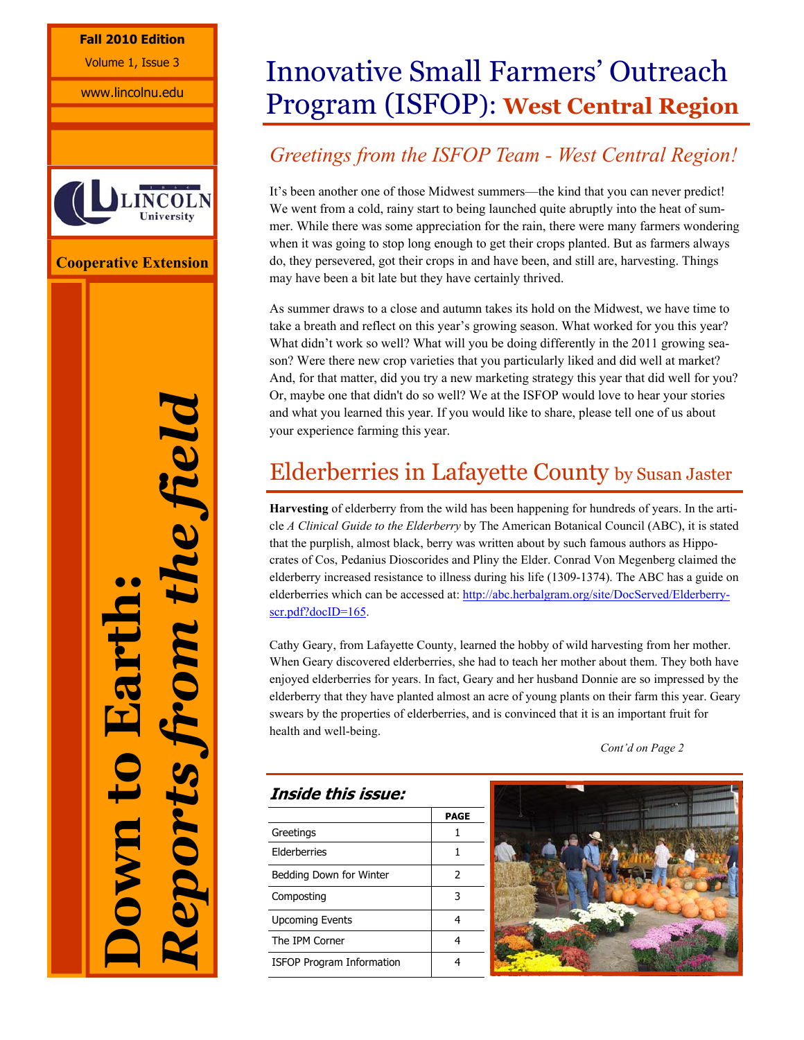## **Fall 2010 Edition**

Volume 1, Issue 3

www.lincolnu.edu



**Cooperative Extension** 

*Reports from the field*  He field **Down to Earth:**  DIN *if sydode* 

# Innovative Small Farmers' Outreach Program (ISFOP): **West Central Region**

## *Greetings from the ISFOP Team - West Central Region!*

It's been another one of those Midwest summers—the kind that you can never predict! We went from a cold, rainy start to being launched quite abruptly into the heat of summer. While there was some appreciation for the rain, there were many farmers wondering when it was going to stop long enough to get their crops planted. But as farmers always do, they persevered, got their crops in and have been, and still are, harvesting. Things may have been a bit late but they have certainly thrived.

As summer draws to a close and autumn takes its hold on the Midwest, we have time to take a breath and reflect on this year's growing season. What worked for you this year? What didn't work so well? What will you be doing differently in the 2011 growing season? Were there new crop varieties that you particularly liked and did well at market? And, for that matter, did you try a new marketing strategy this year that did well for you? Or, maybe one that didn't do so well? We at the ISFOP would love to hear your stories and what you learned this year. If you would like to share, please tell one of us about your experience farming this year.

# Elderberries in Lafayette County by Susan Jaster

**Harvesting** of elderberry from the wild has been happening for hundreds of years. In the article *A Clinical Guide to the Elderberry* by The American Botanical Council (ABC), it is stated that the purplish, almost black, berry was written about by such famous authors as Hippocrates of Cos, Pedanius Dioscorides and Pliny the Elder. Conrad Von Megenberg claimed the elderberry increased resistance to illness during his life (1309-1374). The ABC has a guide on elderberries which can be accessed at: http://abc.herbalgram.org/site/DocServed/Elderberryscr.pdf?docID=165.

Cathy Geary, from Lafayette County, learned the hobby of wild harvesting from her mother. When Geary discovered elderberries, she had to teach her mother about them. They both have enjoyed elderberries for years. In fact, Geary and her husband Donnie are so impressed by the elderberry that they have planted almost an acre of young plants on their farm this year. Geary swears by the properties of elderberries, and is convinced that it is an important fruit for health and well-being.

 *Cont'd on Page 2*

## **Inside this issue:**

|                                  | PAGE |
|----------------------------------|------|
| Greetings                        | 1    |
| <b>Flderberries</b>              |      |
| Bedding Down for Winter          | 2    |
| Composting                       | 3    |
| <b>Upcoming Events</b>           |      |
| The IPM Corner                   |      |
| <b>ISFOP Program Information</b> |      |

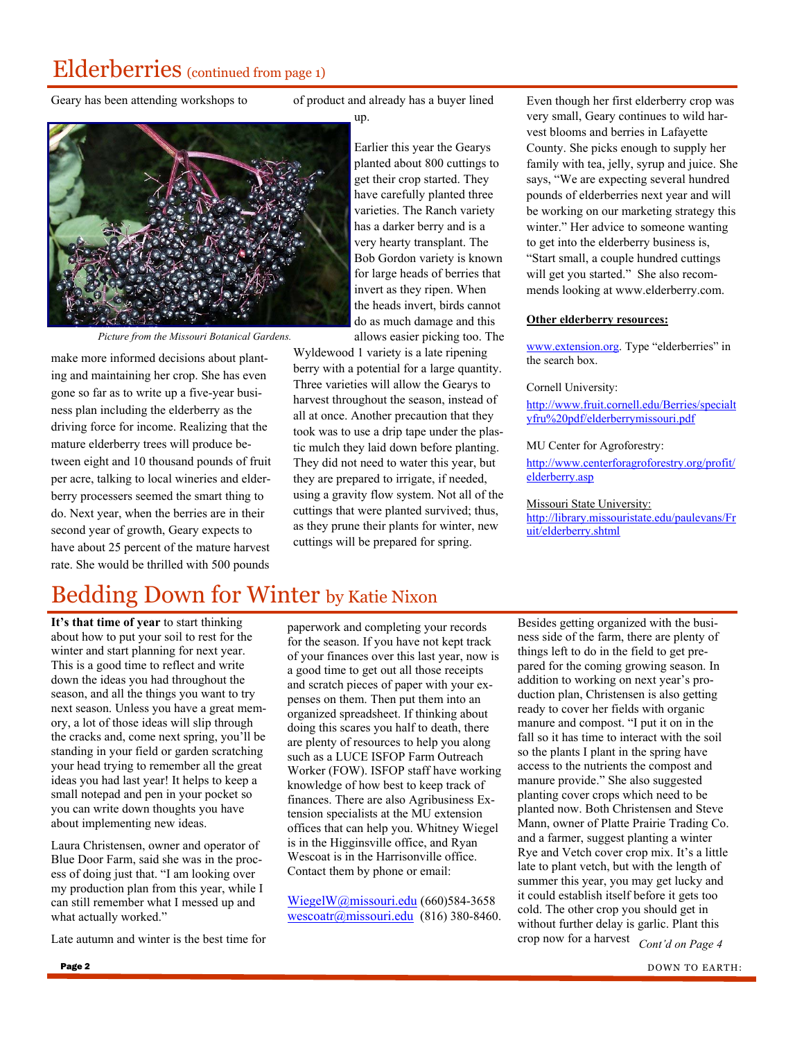# Elderberries (continued from page 1)

Geary has been attending workshops to

of product and already has a buyer lined

up.



*Picture from the Missouri Botanical Gardens.* 

make more informed decisions about planting and maintaining her crop. She has even gone so far as to write up a five-year business plan including the elderberry as the driving force for income. Realizing that the mature elderberry trees will produce between eight and 10 thousand pounds of fruit per acre, talking to local wineries and elderberry processers seemed the smart thing to do. Next year, when the berries are in their second year of growth, Geary expects to have about 25 percent of the mature harvest rate. She would be thrilled with 500 pounds

Earlier this year the Gearys planted about 800 cuttings to get their crop started. They have carefully planted three varieties. The Ranch variety has a darker berry and is a very hearty transplant. The Bob Gordon variety is known for large heads of berries that invert as they ripen. When the heads invert, birds cannot do as much damage and this allows easier picking too. The

Wyldewood 1 variety is a late ripening berry with a potential for a large quantity. Three varieties will allow the Gearys to harvest throughout the season, instead of all at once. Another precaution that they took was to use a drip tape under the plastic mulch they laid down before planting. They did not need to water this year, but they are prepared to irrigate, if needed, using a gravity flow system. Not all of the cuttings that were planted survived; thus, as they prune their plants for winter, new cuttings will be prepared for spring.

Even though her first elderberry crop was very small, Geary continues to wild harvest blooms and berries in Lafayette County. She picks enough to supply her family with tea, jelly, syrup and juice. She says, "We are expecting several hundred pounds of elderberries next year and will be working on our marketing strategy this winter." Her advice to someone wanting to get into the elderberry business is, "Start small, a couple hundred cuttings will get you started." She also recommends looking at www.elderberry.com.

#### **Other elderberry resources:**

www.extension.org. Type "elderberries" in the search box.

#### Cornell University:

http://www.fruit.cornell.edu/Berries/specialt yfru%20pdf/elderberrymissouri.pdf

#### MU Center for Agroforestry:

http://www.centerforagroforestry.org/profit/ elderberry.asp

#### Missouri State University:

http://library.missouristate.edu/paulevans/Fr uit/elderberry.shtml

# Bedding Down for Winter by Katie Nixon

**It's that time of year** to start thinking about how to put your soil to rest for the winter and start planning for next year. This is a good time to reflect and write down the ideas you had throughout the season, and all the things you want to try next season. Unless you have a great memory, a lot of those ideas will slip through the cracks and, come next spring, you'll be standing in your field or garden scratching your head trying to remember all the great ideas you had last year! It helps to keep a small notepad and pen in your pocket so you can write down thoughts you have about implementing new ideas.

Laura Christensen, owner and operator of Blue Door Farm, said she was in the process of doing just that. "I am looking over my production plan from this year, while I can still remember what I messed up and what actually worked."

Late autumn and winter is the best time for

paperwork and completing your records for the season. If you have not kept track of your finances over this last year, now is a good time to get out all those receipts and scratch pieces of paper with your expenses on them. Then put them into an organized spreadsheet. If thinking about doing this scares you half to death, there are plenty of resources to help you along such as a LUCE ISFOP Farm Outreach Worker (FOW). ISFOP staff have working knowledge of how best to keep track of finances. There are also Agribusiness Extension specialists at the MU extension offices that can help you. Whitney Wiegel is in the Higginsville office, and Ryan Wescoat is in the Harrisonville office. Contact them by phone or email:

WiegelW@missouri.edu (660)584-3658 wescoatr@missouri.edu (816) 380-8460. Besides getting organized with the business side of the farm, there are plenty of things left to do in the field to get prepared for the coming growing season. In addition to working on next year's production plan, Christensen is also getting ready to cover her fields with organic manure and compost. "I put it on in the fall so it has time to interact with the soil so the plants I plant in the spring have access to the nutrients the compost and manure provide." She also suggested planting cover crops which need to be planted now. Both Christensen and Steve Mann, owner of Platte Prairie Trading Co. and a farmer, suggest planting a winter Rye and Vetch cover crop mix. It's a little late to plant vetch, but with the length of summer this year, you may get lucky and it could establish itself before it gets too cold. The other crop you should get in without further delay is garlic. Plant this crop now for a harvest *Cont'd on Page 4*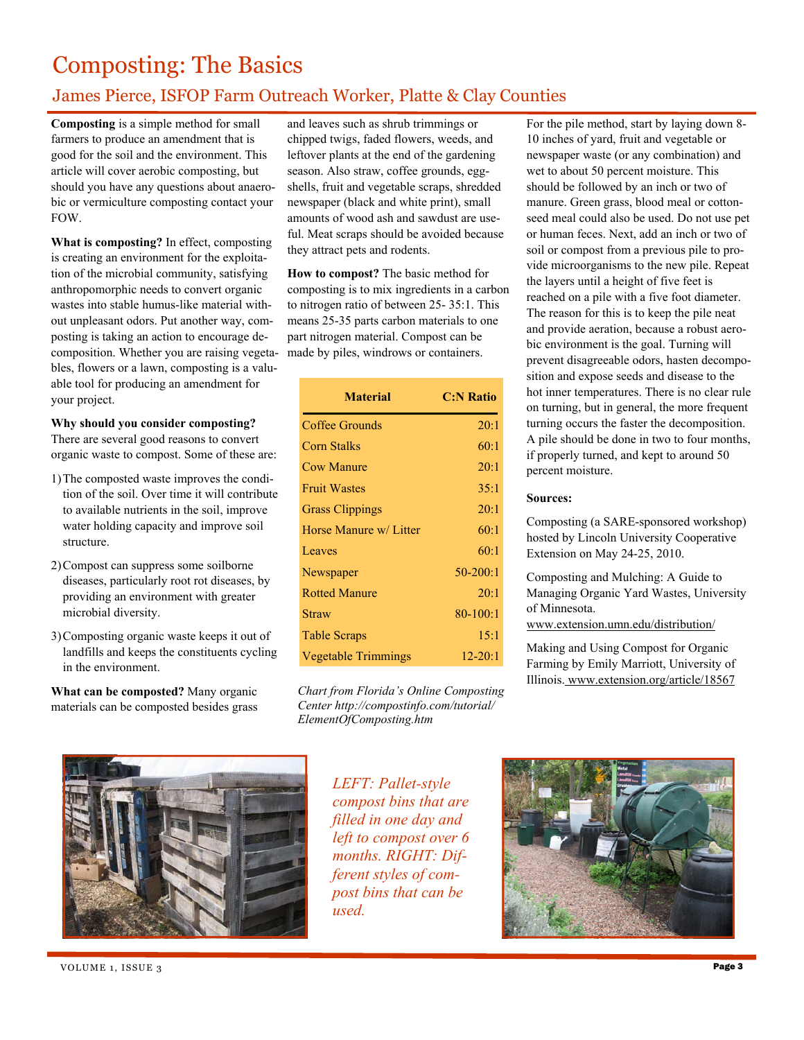# Composting: The Basics

## James Pierce, ISFOP Farm Outreach Worker, Platte & Clay Counties

**Composting** is a simple method for small farmers to produce an amendment that is good for the soil and the environment. This article will cover aerobic composting, but should you have any questions about anaerobic or vermiculture composting contact your FOW.

**What is composting?** In effect, composting is creating an environment for the exploitation of the microbial community, satisfying anthropomorphic needs to convert organic wastes into stable humus-like material without unpleasant odors. Put another way, composting is taking an action to encourage decomposition. Whether you are raising vegetables, flowers or a lawn, composting is a valuable tool for producing an amendment for your project.

## **Why should you consider composting?**

There are several good reasons to convert organic waste to compost. Some of these are:

- 1) The composted waste improves the condition of the soil. Over time it will contribute to available nutrients in the soil, improve water holding capacity and improve soil structure.
- 2) Compost can suppress some soilborne diseases, particularly root rot diseases, by providing an environment with greater microbial diversity.
- 3) Composting organic waste keeps it out of landfills and keeps the constituents cycling in the environment.

**What can be composted?** Many organic materials can be composted besides grass and leaves such as shrub trimmings or chipped twigs, faded flowers, weeds, and leftover plants at the end of the gardening season. Also straw, coffee grounds, eggshells, fruit and vegetable scraps, shredded newspaper (black and white print), small amounts of wood ash and sawdust are useful. Meat scraps should be avoided because they attract pets and rodents.

**How to compost?** The basic method for composting is to mix ingredients in a carbon to nitrogen ratio of between 25- 35:1. This means 25-35 parts carbon materials to one part nitrogen material. Compost can be made by piles, windrows or containers.

| <b>Material</b>            | <b>C:N Ratio</b> |
|----------------------------|------------------|
| Coffee Grounds             | 20:1             |
| Corn Stalks                | 60:1             |
| <b>Cow Manure</b>          | 20:1             |
| <b>Fruit Wastes</b>        | 35:1             |
| <b>Grass Clippings</b>     | 20:1             |
| Horse Manure w/ Litter     | 60:1             |
| Leaves                     | 60:1             |
| Newspaper                  | $50-200:1$       |
| <b>Rotted Manure</b>       | 20:1             |
| <b>Straw</b>               | $80 - 100:1$     |
| <b>Table Scraps</b>        | 15:1             |
| <b>Vegetable Trimmings</b> | $12 - 20:1$      |

*Chart from Florida's Online Composting Center http://compostinfo.com/tutorial/ ElementOfComposting.htm* 

For the pile method, start by laying down 8- 10 inches of yard, fruit and vegetable or newspaper waste (or any combination) and wet to about 50 percent moisture. This should be followed by an inch or two of manure. Green grass, blood meal or cottonseed meal could also be used. Do not use pet or human feces. Next, add an inch or two of soil or compost from a previous pile to provide microorganisms to the new pile. Repeat the layers until a height of five feet is reached on a pile with a five foot diameter. The reason for this is to keep the pile neat and provide aeration, because a robust aerobic environment is the goal. Turning will prevent disagreeable odors, hasten decomposition and expose seeds and disease to the hot inner temperatures. There is no clear rule on turning, but in general, the more frequent turning occurs the faster the decomposition. A pile should be done in two to four months, if properly turned, and kept to around 50 percent moisture.

## **Sources:**

Composting (a SARE-sponsored workshop) hosted by Lincoln University Cooperative Extension on May 24-25, 2010.

Composting and Mulching: A Guide to Managing Organic Yard Wastes, University of Minnesota.

www.extension.umn.edu/distribution/

Making and Using Compost for Organic Farming by Emily Marriott, University of Illinois. www.extension.org/article/18567



*LEFT: Pallet-style compost bins that are filled in one day and left to compost over 6 months. RIGHT: Different styles of compost bins that can be used.* 



VOLUME 1, ISSUE 3